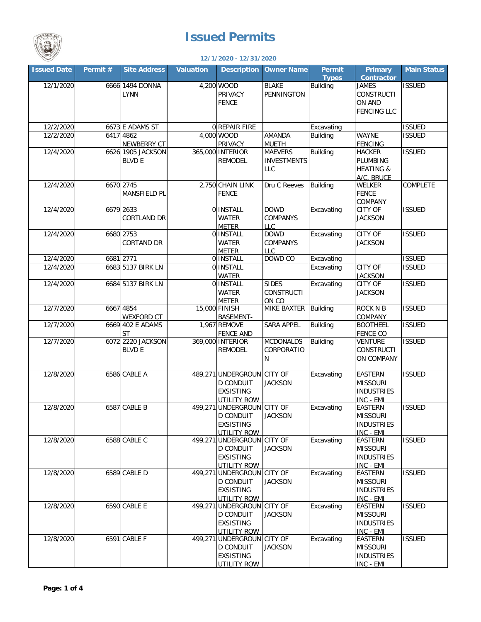

## **Issued Permits**

## **12/1/2020 - 12/31/2020**

| <b>Issued Date</b> | Permit #  | <b>Site Address</b> | Valuation | <b>Description</b>                | <b>Owner Name</b>         | Permit          | <b>Primary</b>              | <b>Main Status</b> |
|--------------------|-----------|---------------------|-----------|-----------------------------------|---------------------------|-----------------|-----------------------------|--------------------|
|                    |           |                     |           |                                   |                           | <b>Types</b>    | <b>Contractor</b>           |                    |
| 12/1/2020          |           | 6666 1494 DONNA     |           | 4,200 WOOD                        | <b>BLAKE</b>              | <b>Building</b> | <b>JAMES</b>                | <b>ISSUED</b>      |
|                    |           | <b>LYNN</b>         |           | PRIVACY                           | PENNINGTON                |                 | <b>CONSTRUCTI</b>           |                    |
|                    |           |                     |           | <b>FENCE</b>                      |                           |                 | ON AND                      |                    |
|                    |           |                     |           |                                   |                           |                 | <b>FENCING LLC</b>          |                    |
| 12/2/2020          |           | 6673 E ADAMS ST     |           | 0 REPAIR FIRE                     |                           | Excavating      |                             | <b>ISSUED</b>      |
| 12/2/2020          |           | 6417 4862           |           | 4,000 WOOD                        | <b>AMANDA</b>             | <b>Building</b> | <b>WAYNE</b>                | <b>ISSUED</b>      |
|                    |           | NEWBERRY CT         |           | PRIVACY                           | <b>MUETH</b>              |                 | <b>FENCING</b>              |                    |
| 12/4/2020          |           | 6626 1905 JACKSON   |           | 365,000 INTERIOR                  | <b>MAEVERS</b>            | <b>Building</b> | <b>HACKER</b>               | <b>ISSUED</b>      |
|                    |           | <b>BLVD E</b>       |           | REMODEL                           | <b>INVESTMENTS</b>        |                 | PLUMBING                    |                    |
|                    |           |                     |           |                                   | <b>LLC</b>                |                 | <b>HEATING &amp;</b>        |                    |
|                    |           |                     |           |                                   |                           |                 | A/C, BRUCE                  |                    |
| 12/4/2020          |           | 6670 2745           |           | 2,750 CHAIN LINK                  | Dru C Reeves              | Building        | WELKER                      | COMPLETE           |
|                    |           | MANSFIELD PL        |           | <b>FENCE</b>                      |                           |                 | <b>FENCE</b>                |                    |
|                    |           |                     |           |                                   |                           |                 | COMPANY                     |                    |
| 12/4/2020          |           | 6679 2633           |           | 0 INSTALL                         | <b>DOWD</b>               | Excavating      | <b>CITY OF</b>              | <b>ISSUED</b>      |
|                    |           | <b>CORTLAND DR</b>  |           | <b>WATER</b>                      | <b>COMPANYS</b>           |                 | <b>JACKSON</b>              |                    |
| 12/4/2020          |           | 6680 2753           |           | <b>METER</b><br>0 INSTALL         | <b>LLC</b><br><b>DOWD</b> | Excavating      | <b>CITY OF</b>              | <b>ISSUED</b>      |
|                    |           | <b>CORTAND DR</b>   |           | <b>WATER</b>                      | <b>COMPANYS</b>           |                 | <b>JACKSON</b>              |                    |
|                    |           |                     |           | <b>METER</b>                      | <b>LLC</b>                |                 |                             |                    |
| 12/4/2020          | 6681 2771 |                     |           | 0 INSTALL                         | DOWD CO                   | Excavating      |                             | <b>ISSUED</b>      |
| 12/4/2020          |           | 6683 5137 BIRK LN   |           | 0 INSTALL                         |                           | Excavating      | <b>CITY OF</b>              | <b>ISSUED</b>      |
|                    |           |                     |           | WATER                             |                           |                 | <b>JACKSON</b>              |                    |
| 12/4/2020          |           | 6684 5137 BIRK LN   |           | 0 INSTALL                         | <b>SIDES</b>              | Excavating      | <b>CITY OF</b>              | <b>ISSUED</b>      |
|                    |           |                     |           | <b>WATER</b>                      | <b>CONSTRUCTI</b>         |                 | <b>JACKSON</b>              |                    |
|                    |           |                     |           | <b>METER</b>                      | ON CO                     |                 |                             |                    |
| 12/7/2020          |           | 6667 4854           |           | 15,000 FINISH                     | <b>MIKE BAXTER</b>        | <b>Building</b> | <b>ROCK N B</b>             | <b>ISSUED</b>      |
|                    |           | <b>WEXFORD CT</b>   |           | BASEMENT-                         |                           |                 | COMPANY                     |                    |
| 12/7/2020          |           | 6669 402 E ADAMS    |           | 1,967 REMOVE                      | <b>SARA APPEL</b>         | <b>Building</b> | <b>BOOTHEEL</b>             | <b>ISSUED</b>      |
|                    |           | <b>ST</b>           |           | <b>FENCE AND</b>                  |                           |                 | <b>FENCE CO</b>             |                    |
| 12/7/2020          |           | 6072 2220 JACKSON   |           | 369,000 INTERIOR                  | <b>MCDONALDS</b>          | <b>Building</b> | <b>VENTURE</b>              | <b>ISSUED</b>      |
|                    |           | <b>BLVD E</b>       |           | REMODEL                           | CORPORATIO                |                 | <b>CONSTRUCTI</b>           |                    |
|                    |           |                     |           |                                   | N                         |                 | ON COMPANY                  |                    |
| 12/8/2020          |           | 6586 CABLE A        |           | 489,271 UNDERGROUN CITY OF        |                           | Excavating      | <b>EASTERN</b>              | <b>ISSUED</b>      |
|                    |           |                     |           | <b>D CONDUIT</b>                  | <b>JACKSON</b>            |                 | <b>MISSOURI</b>             |                    |
|                    |           |                     |           | <b>EXSISTING</b>                  |                           |                 | <b>INDUSTRIES</b>           |                    |
|                    |           |                     |           | UTILITY ROW                       |                           |                 | INC - EMI                   |                    |
| 12/8/2020          |           | 6587 CABLE B        | 499.271   | UNDERGROUN CITY OF                |                           | Excavating      | <b>EASTERN</b>              | <b>ISSUED</b>      |
|                    |           |                     |           | D CONDULI                         | <b>JACKSON</b>            |                 | MISSOURI                    |                    |
|                    |           |                     |           | <b>EXSISTING</b>                  |                           |                 | <b>INDUSTRIES</b>           |                    |
|                    |           |                     |           | <b>UTILITY ROW</b>                |                           |                 | INC - EMI                   |                    |
| 12/8/2020          |           | 6588 CABLE C        | 499,271   | UNDERGROUN CITY OF                |                           | Excavating      | <b>EASTERN</b>              | <b>ISSUED</b>      |
|                    |           |                     |           | <b>D CONDUIT</b>                  | <b>JACKSON</b>            |                 | <b>MISSOURI</b>             |                    |
|                    |           |                     |           | <b>EXSISTING</b>                  |                           |                 | <b>INDUSTRIES</b>           |                    |
| 12/8/2020          |           | 6589 CABLE D        | 499,271   | UTILITY ROW<br>UNDERGROUN CITY OF |                           | Excavating      | INC - EMI<br><b>EASTERN</b> | <b>ISSUED</b>      |
|                    |           |                     |           | <b>D CONDUIT</b>                  | <b>JACKSON</b>            |                 | <b>MISSOURI</b>             |                    |
|                    |           |                     |           | <b>EXSISTING</b>                  |                           |                 | <b>INDUSTRIES</b>           |                    |
|                    |           |                     |           | UTILITY ROW                       |                           |                 | INC - EMI                   |                    |
| 12/8/2020          |           | 6590 CABLE E        | 499,271   | UNDERGROUN CITY OF                |                           | Excavating      | <b>EASTERN</b>              | <b>ISSUED</b>      |
|                    |           |                     |           | <b>D CONDUIT</b>                  | <b>JACKSON</b>            |                 | <b>MISSOURI</b>             |                    |
|                    |           |                     |           | <b>EXSISTING</b>                  |                           |                 | <b>INDUSTRIES</b>           |                    |
|                    |           |                     |           | UTILITY ROW                       |                           |                 | INC - EMI                   |                    |
| 12/8/2020          |           | 6591 CABLE F        | 499,271   | UNDERGROUN CITY OF                |                           | Excavating      | <b>EASTERN</b>              | <b>ISSUED</b>      |
|                    |           |                     |           | <b>D CONDUIT</b>                  | <b>JACKSON</b>            |                 | <b>MISSOURI</b>             |                    |
|                    |           |                     |           | <b>EXSISTING</b>                  |                           |                 | <b>INDUSTRIES</b>           |                    |
|                    |           |                     |           | UTILITY ROW                       |                           |                 | INC - EMI                   |                    |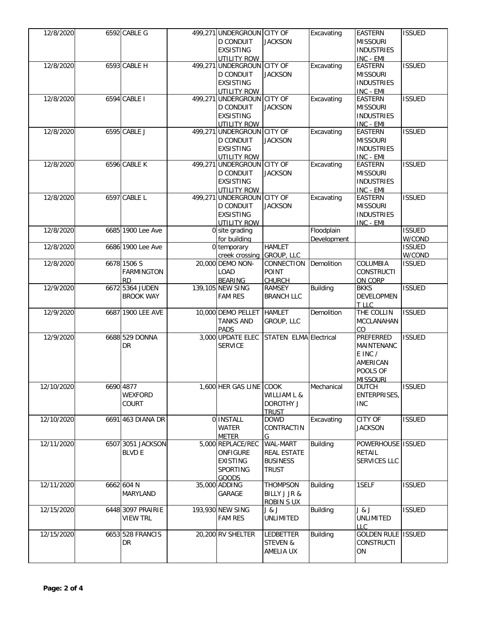| 12/8/2020  | 6592 CABLE G      | 499,271 UNDERGROUN CITY OF       |                        | Excavating      | <b>EASTERN</b>     | <b>ISSUED</b> |
|------------|-------------------|----------------------------------|------------------------|-----------------|--------------------|---------------|
|            |                   | <b>D CONDUIT</b>                 | <b>JACKSON</b>         |                 | <b>MISSOURI</b>    |               |
|            |                   | <b>EXSISTING</b>                 |                        |                 | <b>INDUSTRIES</b>  |               |
|            |                   |                                  |                        |                 |                    |               |
|            |                   | UTILITY ROW                      |                        |                 | INC - EMI          |               |
| 12/8/2020  | 6593 CABLE H      | 499,271 UNDERGROUN CITY OF       |                        | Excavating      | <b>EASTERN</b>     | <b>ISSUED</b> |
|            |                   | <b>D CONDUIT</b>                 | <b>JACKSON</b>         |                 | <b>MISSOURI</b>    |               |
|            |                   | <b>EXSISTING</b>                 |                        |                 | <b>INDUSTRIES</b>  |               |
|            |                   | UTILITY ROW                      |                        |                 | INC - EMI          |               |
| 12/8/2020  | 6594 CABLE I      | 499,271 UNDERGROUN CITY OF       |                        | Excavating      | <b>EASTERN</b>     | <b>ISSUED</b> |
|            |                   | <b>D CONDUIT</b>                 | <b>JACKSON</b>         |                 | <b>MISSOURI</b>    |               |
|            |                   | <b>EXSISTING</b>                 |                        |                 | <b>INDUSTRIES</b>  |               |
|            |                   | UTILITY ROW                      |                        |                 | INC - EMI          |               |
| 12/8/2020  | 6595 CABLE J      | 499,271 UNDERGROUN CITY OF       |                        | Excavating      | <b>EASTERN</b>     | <b>ISSUED</b> |
|            |                   |                                  |                        |                 | <b>MISSOURI</b>    |               |
|            |                   | <b>D CONDUIT</b>                 | <b>JACKSON</b>         |                 |                    |               |
|            |                   | <b>EXSISTING</b>                 |                        |                 | <b>INDUSTRIES</b>  |               |
|            |                   | UTILITY ROW                      |                        |                 | INC - EMI          |               |
| 12/8/2020  | 6596 CABLE K      | 499,271 UNDERGROUN CITY OF       |                        | Excavating      | <b>EASTERN</b>     | <b>ISSUED</b> |
|            |                   | <b>D CONDUIT</b>                 | <b>JACKSON</b>         |                 | <b>MISSOURI</b>    |               |
|            |                   | <b>EXSISTING</b>                 |                        |                 | <b>INDUSTRIES</b>  |               |
|            |                   | UTILITY ROW                      |                        |                 | INC - EMI          |               |
| 12/8/2020  | 6597 CABLE L      | 499,271 UNDERGROUN CITY OF       |                        | Excavating      | <b>EASTERN</b>     | <b>ISSUED</b> |
|            |                   | <b>D CONDUIT</b>                 | <b>JACKSON</b>         |                 | <b>MISSOURI</b>    |               |
|            |                   | <b>EXSISTING</b>                 |                        |                 | <b>INDUSTRIES</b>  |               |
|            |                   | UTILITY ROW                      |                        |                 | INC - EMI          |               |
| 12/8/2020  | 6685 1900 Lee Ave | 0 site grading                   |                        | Floodplain      |                    | <b>ISSUED</b> |
|            |                   |                                  |                        |                 |                    |               |
|            |                   | for building                     |                        | Development     |                    | W/COND        |
| 12/8/2020  | 6686 1900 Lee Ave | 0 temporary                      | <b>HAMLET</b>          |                 |                    | <b>ISSUED</b> |
|            |                   | creek crossing                   | GROUP, LLC             |                 |                    | W/COND        |
| 12/8/2020  | 6678 1506 S       | 20,000 DEMO NON-                 | CONNECTION             | Demolition      | COLUMBIA           | <b>ISSUED</b> |
|            | <b>FARMINGTON</b> | <b>LOAD</b>                      | <b>POINT</b>           |                 | <b>CONSTRUCTI</b>  |               |
|            | <b>RD</b>         | <b>BEARING</b>                   | <b>CHURCH</b>          |                 | ON CORP            |               |
| 12/9/2020  | 6672 5364 JUDEN   | 139,105 NEW SING                 | <b>RAMSEY</b>          | <b>Building</b> | <b>BKKS</b>        | <b>ISSUED</b> |
|            | <b>BROOK WAY</b>  | <b>FAM RES</b>                   | <b>BRANCH LLC</b>      |                 | DEVELOPMEN         |               |
|            |                   |                                  |                        |                 | T LLC              |               |
| 12/9/2020  | 6687 1900 LEE AVE | 10,000 DEMO PELLET               | <b>HAMLET</b>          | Demolition      | THE COLLIN         | <b>ISSUED</b> |
|            |                   | <b>TANKS AND</b>                 | GROUP, LLC             |                 | MCCLANAHAN         |               |
|            |                   |                                  |                        |                 |                    |               |
|            |                   | <b>PADS</b><br>3,000 UPDATE ELEC |                        |                 | CO                 |               |
| 12/9/2020  | 6688 529 DONNA    |                                  | STATEN ELMA Electrical |                 | PREFERRED          | <b>ISSUED</b> |
|            | DR                | <b>SERVICE</b>                   |                        |                 | MAINTENANC         |               |
|            |                   |                                  |                        |                 | E INC /            |               |
|            |                   |                                  |                        |                 | AMERICAN           |               |
|            |                   |                                  |                        |                 | POOLS OF           |               |
|            |                   |                                  |                        |                 | <b>MISSOURI</b>    |               |
| 12/10/2020 | 6690 4877         | 1,600 HER GAS LINE COOK          |                        | Mechanical      | <b>DUTCH</b>       | <b>ISSUED</b> |
|            | WEXFORD           |                                  | WILLIAM L &            |                 | ENTERPRISES,       |               |
|            | COURT             |                                  | <b>DOROTHY J</b>       |                 | <b>INC</b>         |               |
|            |                   |                                  |                        |                 |                    |               |
|            |                   |                                  | <b>TRUST</b>           |                 |                    |               |
| 12/10/2020 | 6691 463 DIANA DR | 0 INSTALL                        | <b>DOWD</b>            | Excavating      | CITY OF            | <b>ISSUED</b> |
|            |                   | WATER                            | CONTRACTIN             |                 | <b>JACKSON</b>     |               |
|            |                   | <b>METER</b>                     | G                      |                 |                    |               |
| 12/11/2020 | 6507 3051 JACKSON | 5,000 REPLACE/REC                | <b>WAL-MART</b>        | Building        | POWERHOUSE ISSUED  |               |
|            | <b>BLVD E</b>     | <b>ONFIGURE</b>                  | <b>REAL ESTATE</b>     |                 | <b>RETAIL</b>      |               |
|            |                   | <b>EXISTING</b>                  | <b>BUSINESS</b>        |                 | SERVICES LLC       |               |
|            |                   | SPORTING                         | <b>TRUST</b>           |                 |                    |               |
|            |                   | <b>GOODS</b>                     |                        |                 |                    |               |
| 12/11/2020 | 6662 604 N        | 35,000 ADDING                    | <b>THOMPSON</b>        | <b>Building</b> | 1SELF              | <b>ISSUED</b> |
|            | <b>MARYLAND</b>   | GARAGE                           | BILLY J JR &           |                 |                    |               |
|            |                   |                                  |                        |                 |                    |               |
|            |                   |                                  | <b>ROBIN S UX</b>      |                 |                    |               |
| 12/15/2020 | 6448 3097 PRAIRIE | 193,930 NEW SING                 | J & J                  | <b>Building</b> | J & J              | <b>ISSUED</b> |
|            | <b>VIEW TRL</b>   | <b>FAM RES</b>                   | <b>UNLIMITED</b>       |                 | UNLIMITED          |               |
|            |                   |                                  |                        |                 | <b>LLC</b>         |               |
|            |                   |                                  |                        |                 |                    |               |
| 12/15/2020 | 6653 528 FRANCIS  | 20,200 RV SHELTER                | <b>LEDBETTER</b>       | <b>Building</b> | <b>GOLDEN RULE</b> | <b>ISSUED</b> |
|            | <b>DR</b>         |                                  | <b>STEVEN &amp;</b>    |                 | <b>CONSTRUCTI</b>  |               |
|            |                   |                                  | AMELIA UX              |                 | ON                 |               |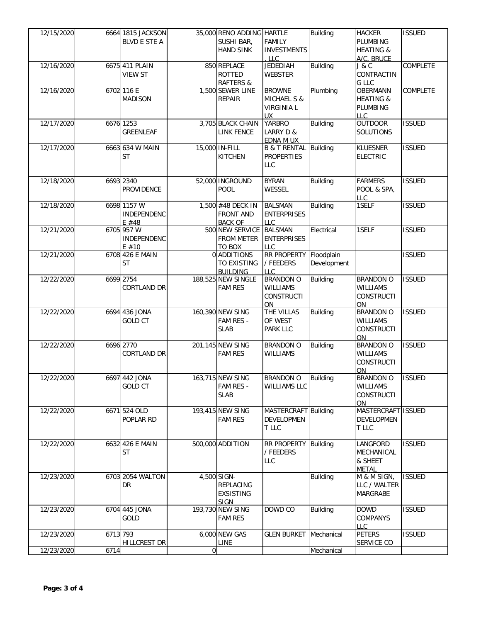| 12/15/2020 |          | 6664 1815 JACKSON<br><b>BLVD E STE A</b> |                | 35,000 RENO ADDING HARTLE<br>SUSHI BAR,<br><b>HAND SINK</b> | <b>FAMILY</b><br><b>INVESTMENTS</b><br>LLC                                | <b>Building</b>           | <b>HACKER</b><br>PLUMBING<br><b>HEATING &amp;</b><br>A/C, BRUCE       | <b>ISSUED</b> |
|------------|----------|------------------------------------------|----------------|-------------------------------------------------------------|---------------------------------------------------------------------------|---------------------------|-----------------------------------------------------------------------|---------------|
| 12/16/2020 |          | 6675 411 PLAIN<br><b>VIEW ST</b>         |                | 850 REPLACE<br>ROTTED<br><b>RAFTERS &amp;</b>               | <b>JEDEDIAH</b><br><b>WEBSTER</b>                                         | <b>Building</b>           | J & C<br>CONTRACTIN<br>G LLC                                          | COMPLETE      |
| 12/16/2020 |          | 6702 116 E<br><b>MADISON</b>             |                | 1,500 SEWER LINE<br><b>REPAIR</b>                           | <b>BROWNE</b><br><b>MICHAEL S &amp;</b><br><b>VIRGINIA L</b><br><b>UX</b> | Plumbing                  | <b>OBERMANN</b><br><b>HEATING &amp;</b><br>PLUMBING<br><b>LLC</b>     | COMPLETE      |
| 12/17/2020 |          | 6676 1253<br><b>GREENLEAF</b>            |                | 3,705 BLACK CHAIN<br><b>LINK FENCE</b>                      | <b>YARBRO</b><br>LARRY D &<br><b>EDNA M UX</b>                            | <b>Building</b>           | <b>OUTDOOR</b><br>SOLUTIONS                                           | <b>ISSUED</b> |
| 12/17/2020 |          | 6663 634 W MAIN<br><b>ST</b>             |                | 15,000 IN-FILL<br><b>KITCHEN</b>                            | B & T RENTAL Building<br><b>PROPERTIES</b><br><b>LLC</b>                  |                           | <b>KLUESNER</b><br><b>ELECTRIC</b>                                    | <b>ISSUED</b> |
| 12/18/2020 |          | 6693 2340<br><b>PROVIDENCE</b>           |                | 52,000 INGROUND<br><b>POOL</b>                              | <b>BYRAN</b><br>WESSEL                                                    | <b>Building</b>           | <b>FARMERS</b><br>POOL & SPA,<br><b>LLC</b>                           | <b>ISSUED</b> |
| 12/18/2020 |          | 6698 1157 W<br>INDEPENDENC<br>$E$ #48    |                | 1,500 #48 DECK IN<br><b>FRONT AND</b><br><b>BACK OF</b>     | <b>BALSMAN</b><br><b>ENTERPRISES</b><br><b>LLC</b>                        | <b>Building</b>           | 1SELF                                                                 | <b>ISSUED</b> |
| 12/21/2020 |          | 6705 957 W<br><b>INDEPENDENC</b><br>E#10 |                | 500 NEW SERVICE BALSMAN<br><b>FROM METER</b><br>TO BOX      | <b>ENTERPRISES</b><br><b>LLC</b>                                          | Electrical                | 1SELF                                                                 | <b>ISSUED</b> |
| 12/21/2020 |          | 6708 426 E MAIN<br><b>ST</b>             |                | 0 ADDITIONS<br>TO EXISTING<br><b>BUILDING</b>               | RR PROPERTY<br>/ FEEDERS<br><b>LLC</b>                                    | Floodplain<br>Development |                                                                       | <b>ISSUED</b> |
| 12/22/2020 |          | 6699 2754<br><b>CORTLAND DR</b>          |                | 188,525 NEW SINGLE<br><b>FAM RES</b>                        | <b>BRANDON O</b><br><b>WILLIAMS</b><br><b>CONSTRUCTI</b><br>ON            | Building                  | <b>BRANDON O</b><br><b>WILLIAMS</b><br><b>CONSTRUCTI</b><br>ON        | <b>ISSUED</b> |
| 12/22/2020 |          | 6694 436 JONA<br><b>GOLD CT</b>          |                | 160,390 NEW SING<br>FAM RES -<br><b>SLAB</b>                | THE VILLAS<br>OF WEST<br><b>PARK LLC</b>                                  | <b>Building</b>           | <b>BRANDON O</b><br>WILLIAMS<br><b>CONSTRUCTI</b><br>ON               | <b>ISSUED</b> |
| 12/22/2020 |          | 6696 2770<br><b>CORTLAND DR</b>          |                | 201,145 NEW SING<br><b>FAM RES</b>                          | <b>BRANDON O</b><br><b>WILLIAMS</b>                                       | Building                  | <b>BRANDON O</b><br>WILLIAMS<br><b>CONSTRUCTI</b><br>ON               | <b>ISSUED</b> |
| 12/22/2020 |          | 6697 442 JONA<br><b>GOLD CT</b>          |                | 163,715 NEW SING<br>FAM RES -<br><b>SLAB</b>                | <b>BRANDON O</b><br><b>WILLIAMS LLC</b>                                   | Building                  | <b>BRANDON O</b><br><b>WILLIAMS</b><br><b>CONSTRUCTI</b><br><b>ON</b> | <b>ISSUED</b> |
| 12/22/2020 |          | 6671 524 OLD<br>POPLAR RD                |                | 193,415 NEW SING<br><b>FAM RES</b>                          | MASTERCRAFT Building<br><b>DEVELOPMEN</b><br>T LLC                        |                           | MASTERCRAFT ISSUED<br>DEVELOPMEN<br>T LLC                             |               |
| 12/22/2020 |          | 6632 426 E MAIN<br>ST                    |                | 500,000 ADDITION                                            | RR PROPERTY<br>/ FEEDERS<br><b>LLC</b>                                    | Building                  | LANGFORD<br>MECHANICAL<br>& SHEET<br><b>METAL</b>                     | <b>ISSUED</b> |
| 12/23/2020 |          | 6703 2054 WALTON<br>DR                   |                | 4,500 SIGN-<br>REPLACING<br><b>EXSISTING</b><br><b>SIGN</b> |                                                                           | <b>Building</b>           | M & M SIGN,<br>LLC / WALTER<br>MARGRABE                               | <b>ISSUED</b> |
| 12/23/2020 |          | 6704 445 JONA<br>GOLD                    |                | 193,730 NEW SING<br><b>FAM RES</b>                          | DOWD CO                                                                   | <b>Building</b>           | <b>DOWD</b><br>COMPANYS<br>LLC                                        | <b>ISSUED</b> |
| 12/23/2020 | 6713 793 | HILLCREST DR                             |                | 6,000 NEW GAS<br>LINE                                       | <b>GLEN BURKET</b>                                                        | Mechanical                | <b>PETERS</b><br><b>SERVICE CO</b>                                    | <b>ISSUED</b> |
| 12/23/2020 | 6714     |                                          | $\overline{0}$ |                                                             |                                                                           | Mechanical                |                                                                       |               |